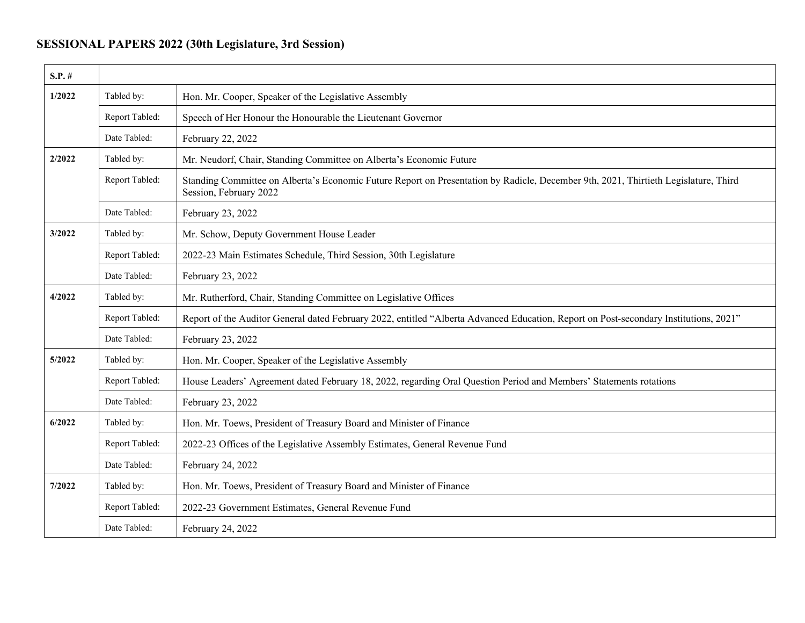## **SESSIONAL PAPERS 2022 (30th Legislature, 3rd Session)**

| $S.P.$ # |                |                                                                                                                                                               |
|----------|----------------|---------------------------------------------------------------------------------------------------------------------------------------------------------------|
| 1/2022   | Tabled by:     | Hon. Mr. Cooper, Speaker of the Legislative Assembly                                                                                                          |
|          | Report Tabled: | Speech of Her Honour the Honourable the Lieutenant Governor                                                                                                   |
|          | Date Tabled:   | February 22, 2022                                                                                                                                             |
| 2/2022   | Tabled by:     | Mr. Neudorf, Chair, Standing Committee on Alberta's Economic Future                                                                                           |
|          | Report Tabled: | Standing Committee on Alberta's Economic Future Report on Presentation by Radicle, December 9th, 2021, Thirtieth Legislature, Third<br>Session, February 2022 |
|          | Date Tabled:   | February 23, 2022                                                                                                                                             |
| 3/2022   | Tabled by:     | Mr. Schow, Deputy Government House Leader                                                                                                                     |
|          | Report Tabled: | 2022-23 Main Estimates Schedule, Third Session, 30th Legislature                                                                                              |
|          | Date Tabled:   | February 23, 2022                                                                                                                                             |
| 4/2022   | Tabled by:     | Mr. Rutherford, Chair, Standing Committee on Legislative Offices                                                                                              |
|          | Report Tabled: | Report of the Auditor General dated February 2022, entitled "Alberta Advanced Education, Report on Post-secondary Institutions, 2021"                         |
|          | Date Tabled:   | February 23, 2022                                                                                                                                             |
| 5/2022   | Tabled by:     | Hon. Mr. Cooper, Speaker of the Legislative Assembly                                                                                                          |
|          | Report Tabled: | House Leaders' Agreement dated February 18, 2022, regarding Oral Question Period and Members' Statements rotations                                            |
|          | Date Tabled:   | February 23, 2022                                                                                                                                             |
| 6/2022   | Tabled by:     | Hon. Mr. Toews, President of Treasury Board and Minister of Finance                                                                                           |
|          | Report Tabled: | 2022-23 Offices of the Legislative Assembly Estimates, General Revenue Fund                                                                                   |
|          | Date Tabled:   | February 24, 2022                                                                                                                                             |
| 7/2022   | Tabled by:     | Hon. Mr. Toews, President of Treasury Board and Minister of Finance                                                                                           |
|          | Report Tabled: | 2022-23 Government Estimates, General Revenue Fund                                                                                                            |
|          | Date Tabled:   | February 24, 2022                                                                                                                                             |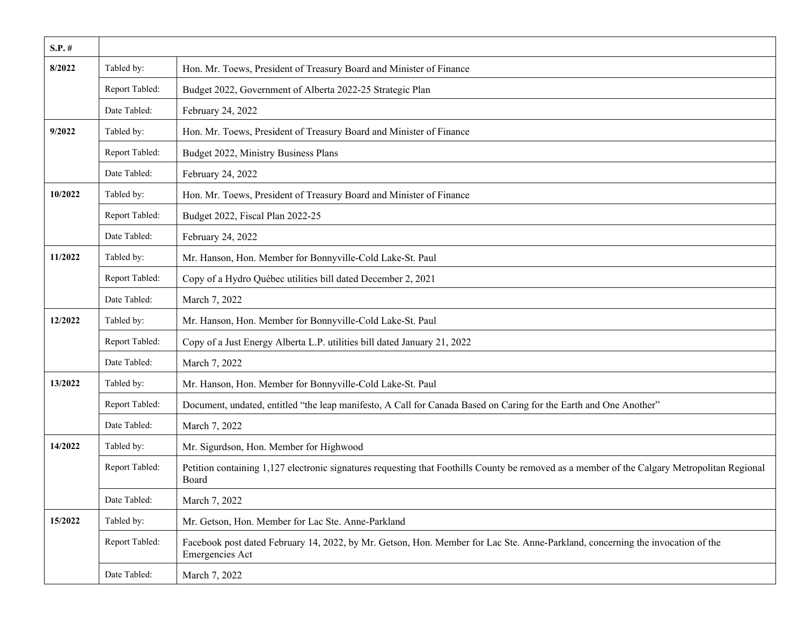| $S.P.$ # |                |                                                                                                                                                       |
|----------|----------------|-------------------------------------------------------------------------------------------------------------------------------------------------------|
| 8/2022   | Tabled by:     | Hon. Mr. Toews, President of Treasury Board and Minister of Finance                                                                                   |
|          | Report Tabled: | Budget 2022, Government of Alberta 2022-25 Strategic Plan                                                                                             |
|          | Date Tabled:   | February 24, 2022                                                                                                                                     |
| 9/2022   | Tabled by:     | Hon. Mr. Toews, President of Treasury Board and Minister of Finance                                                                                   |
|          | Report Tabled: | Budget 2022, Ministry Business Plans                                                                                                                  |
|          | Date Tabled:   | February 24, 2022                                                                                                                                     |
| 10/2022  | Tabled by:     | Hon. Mr. Toews, President of Treasury Board and Minister of Finance                                                                                   |
|          | Report Tabled: | Budget 2022, Fiscal Plan 2022-25                                                                                                                      |
|          | Date Tabled:   | February 24, 2022                                                                                                                                     |
| 11/2022  | Tabled by:     | Mr. Hanson, Hon. Member for Bonnyville-Cold Lake-St. Paul                                                                                             |
|          | Report Tabled: | Copy of a Hydro Québec utilities bill dated December 2, 2021                                                                                          |
|          | Date Tabled:   | March 7, 2022                                                                                                                                         |
| 12/2022  | Tabled by:     | Mr. Hanson, Hon. Member for Bonnyville-Cold Lake-St. Paul                                                                                             |
|          | Report Tabled: | Copy of a Just Energy Alberta L.P. utilities bill dated January 21, 2022                                                                              |
|          | Date Tabled:   | March 7, 2022                                                                                                                                         |
| 13/2022  | Tabled by:     | Mr. Hanson, Hon. Member for Bonnyville-Cold Lake-St. Paul                                                                                             |
|          | Report Tabled: | Document, undated, entitled "the leap manifesto, A Call for Canada Based on Caring for the Earth and One Another"                                     |
|          | Date Tabled:   | March 7, 2022                                                                                                                                         |
| 14/2022  | Tabled by:     | Mr. Sigurdson, Hon. Member for Highwood                                                                                                               |
|          | Report Tabled: | Petition containing 1,127 electronic signatures requesting that Foothills County be removed as a member of the Calgary Metropolitan Regional<br>Board |
|          | Date Tabled:   | March 7, 2022                                                                                                                                         |
| 15/2022  | Tabled by:     | Mr. Getson, Hon. Member for Lac Ste. Anne-Parkland                                                                                                    |
|          | Report Tabled: | Facebook post dated February 14, 2022, by Mr. Getson, Hon. Member for Lac Ste. Anne-Parkland, concerning the invocation of the<br>Emergencies Act     |
|          | Date Tabled:   | March 7, 2022                                                                                                                                         |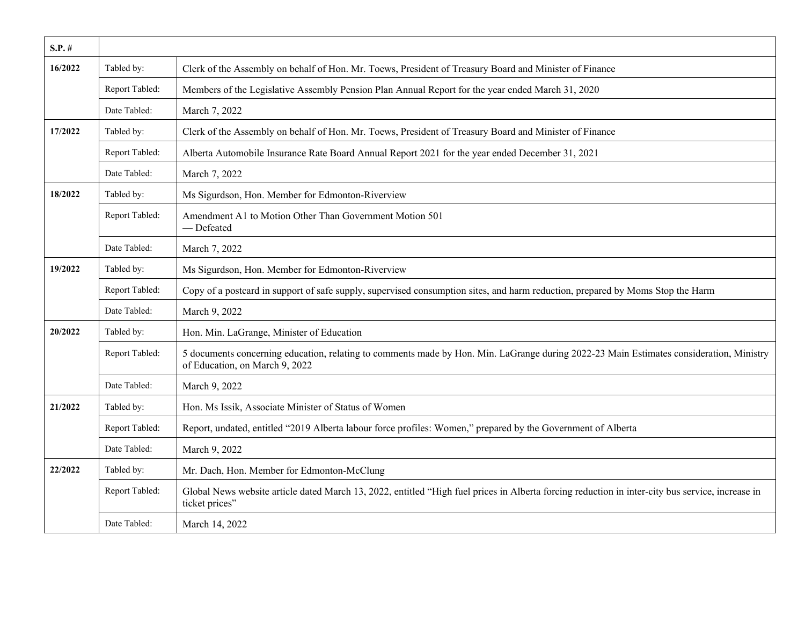| $S.P.$ # |                |                                                                                                                                                                           |
|----------|----------------|---------------------------------------------------------------------------------------------------------------------------------------------------------------------------|
| 16/2022  | Tabled by:     | Clerk of the Assembly on behalf of Hon. Mr. Toews, President of Treasury Board and Minister of Finance                                                                    |
|          | Report Tabled: | Members of the Legislative Assembly Pension Plan Annual Report for the year ended March 31, 2020                                                                          |
|          | Date Tabled:   | March 7, 2022                                                                                                                                                             |
| 17/2022  | Tabled by:     | Clerk of the Assembly on behalf of Hon. Mr. Toews, President of Treasury Board and Minister of Finance                                                                    |
|          | Report Tabled: | Alberta Automobile Insurance Rate Board Annual Report 2021 for the year ended December 31, 2021                                                                           |
|          | Date Tabled:   | March 7, 2022                                                                                                                                                             |
| 18/2022  | Tabled by:     | Ms Sigurdson, Hon. Member for Edmonton-Riverview                                                                                                                          |
|          | Report Tabled: | Amendment A1 to Motion Other Than Government Motion 501<br>- Defeated                                                                                                     |
|          | Date Tabled:   | March 7, 2022                                                                                                                                                             |
| 19/2022  | Tabled by:     | Ms Sigurdson, Hon. Member for Edmonton-Riverview                                                                                                                          |
|          | Report Tabled: | Copy of a postcard in support of safe supply, supervised consumption sites, and harm reduction, prepared by Moms Stop the Harm                                            |
|          | Date Tabled:   | March 9, 2022                                                                                                                                                             |
| 20/2022  | Tabled by:     | Hon. Min. LaGrange, Minister of Education                                                                                                                                 |
|          | Report Tabled: | 5 documents concerning education, relating to comments made by Hon. Min. LaGrange during 2022-23 Main Estimates consideration, Ministry<br>of Education, on March 9, 2022 |
|          | Date Tabled:   | March 9, 2022                                                                                                                                                             |
| 21/2022  | Tabled by:     | Hon. Ms Issik, Associate Minister of Status of Women                                                                                                                      |
|          | Report Tabled: | Report, undated, entitled "2019 Alberta labour force profiles: Women," prepared by the Government of Alberta                                                              |
|          | Date Tabled:   | March 9, 2022                                                                                                                                                             |
| 22/2022  | Tabled by:     | Mr. Dach, Hon. Member for Edmonton-McClung                                                                                                                                |
|          | Report Tabled: | Global News website article dated March 13, 2022, entitled "High fuel prices in Alberta forcing reduction in inter-city bus service, increase in<br>ticket prices"        |
|          | Date Tabled:   | March 14, 2022                                                                                                                                                            |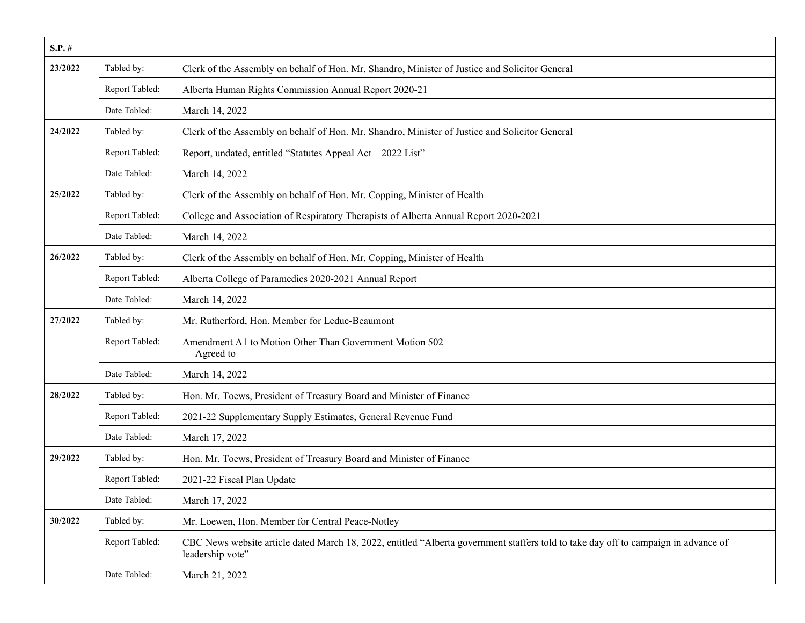| $S.P.$ # |                |                                                                                                                                                         |
|----------|----------------|---------------------------------------------------------------------------------------------------------------------------------------------------------|
| 23/2022  | Tabled by:     | Clerk of the Assembly on behalf of Hon. Mr. Shandro, Minister of Justice and Solicitor General                                                          |
|          | Report Tabled: | Alberta Human Rights Commission Annual Report 2020-21                                                                                                   |
|          | Date Tabled:   | March 14, 2022                                                                                                                                          |
| 24/2022  | Tabled by:     | Clerk of the Assembly on behalf of Hon. Mr. Shandro, Minister of Justice and Solicitor General                                                          |
|          | Report Tabled: | Report, undated, entitled "Statutes Appeal Act - 2022 List"                                                                                             |
|          | Date Tabled:   | March 14, 2022                                                                                                                                          |
| 25/2022  | Tabled by:     | Clerk of the Assembly on behalf of Hon. Mr. Copping, Minister of Health                                                                                 |
|          | Report Tabled: | College and Association of Respiratory Therapists of Alberta Annual Report 2020-2021                                                                    |
|          | Date Tabled:   | March 14, 2022                                                                                                                                          |
| 26/2022  | Tabled by:     | Clerk of the Assembly on behalf of Hon. Mr. Copping, Minister of Health                                                                                 |
|          | Report Tabled: | Alberta College of Paramedics 2020-2021 Annual Report                                                                                                   |
|          | Date Tabled:   | March 14, 2022                                                                                                                                          |
| 27/2022  | Tabled by:     | Mr. Rutherford, Hon. Member for Leduc-Beaumont                                                                                                          |
|          | Report Tabled: | Amendment A1 to Motion Other Than Government Motion 502<br>— Agreed to                                                                                  |
|          | Date Tabled:   | March 14, 2022                                                                                                                                          |
| 28/2022  | Tabled by:     | Hon. Mr. Toews, President of Treasury Board and Minister of Finance                                                                                     |
|          | Report Tabled: | 2021-22 Supplementary Supply Estimates, General Revenue Fund                                                                                            |
|          | Date Tabled:   | March 17, 2022                                                                                                                                          |
| 29/2022  | Tabled by:     | Hon. Mr. Toews, President of Treasury Board and Minister of Finance                                                                                     |
|          | Report Tabled: | 2021-22 Fiscal Plan Update                                                                                                                              |
|          | Date Tabled:   | March 17, 2022                                                                                                                                          |
| 30/2022  | Tabled by:     | Mr. Loewen, Hon. Member for Central Peace-Notley                                                                                                        |
|          | Report Tabled: | CBC News website article dated March 18, 2022, entitled "Alberta government staffers told to take day off to campaign in advance of<br>leadership vote" |
|          | Date Tabled:   | March 21, 2022                                                                                                                                          |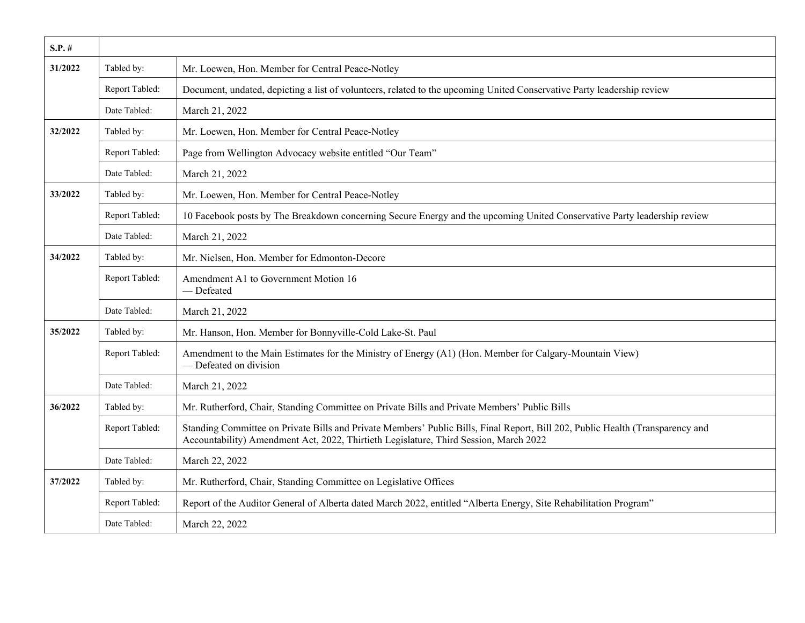| $S.P. \#$ |                |                                                                                                                                                                                                                         |
|-----------|----------------|-------------------------------------------------------------------------------------------------------------------------------------------------------------------------------------------------------------------------|
| 31/2022   | Tabled by:     | Mr. Loewen, Hon. Member for Central Peace-Notley                                                                                                                                                                        |
|           | Report Tabled: | Document, undated, depicting a list of volunteers, related to the upcoming United Conservative Party leadership review                                                                                                  |
|           | Date Tabled:   | March 21, 2022                                                                                                                                                                                                          |
| 32/2022   | Tabled by:     | Mr. Loewen, Hon. Member for Central Peace-Notley                                                                                                                                                                        |
|           | Report Tabled: | Page from Wellington Advocacy website entitled "Our Team"                                                                                                                                                               |
|           | Date Tabled:   | March 21, 2022                                                                                                                                                                                                          |
| 33/2022   | Tabled by:     | Mr. Loewen, Hon. Member for Central Peace-Notley                                                                                                                                                                        |
|           | Report Tabled: | 10 Facebook posts by The Breakdown concerning Secure Energy and the upcoming United Conservative Party leadership review                                                                                                |
|           | Date Tabled:   | March 21, 2022                                                                                                                                                                                                          |
| 34/2022   | Tabled by:     | Mr. Nielsen, Hon. Member for Edmonton-Decore                                                                                                                                                                            |
|           | Report Tabled: | Amendment A1 to Government Motion 16<br>- Defeated                                                                                                                                                                      |
|           | Date Tabled:   | March 21, 2022                                                                                                                                                                                                          |
| 35/2022   | Tabled by:     | Mr. Hanson, Hon. Member for Bonnyville-Cold Lake-St. Paul                                                                                                                                                               |
|           | Report Tabled: | Amendment to the Main Estimates for the Ministry of Energy (A1) (Hon. Member for Calgary-Mountain View)<br>- Defeated on division                                                                                       |
|           | Date Tabled:   | March 21, 2022                                                                                                                                                                                                          |
| 36/2022   | Tabled by:     | Mr. Rutherford, Chair, Standing Committee on Private Bills and Private Members' Public Bills                                                                                                                            |
|           | Report Tabled: | Standing Committee on Private Bills and Private Members' Public Bills, Final Report, Bill 202, Public Health (Transparency and<br>Accountability) Amendment Act, 2022, Thirtieth Legislature, Third Session, March 2022 |
|           | Date Tabled:   | March 22, 2022                                                                                                                                                                                                          |
| 37/2022   | Tabled by:     | Mr. Rutherford, Chair, Standing Committee on Legislative Offices                                                                                                                                                        |
|           | Report Tabled: | Report of the Auditor General of Alberta dated March 2022, entitled "Alberta Energy, Site Rehabilitation Program"                                                                                                       |
|           | Date Tabled:   | March 22, 2022                                                                                                                                                                                                          |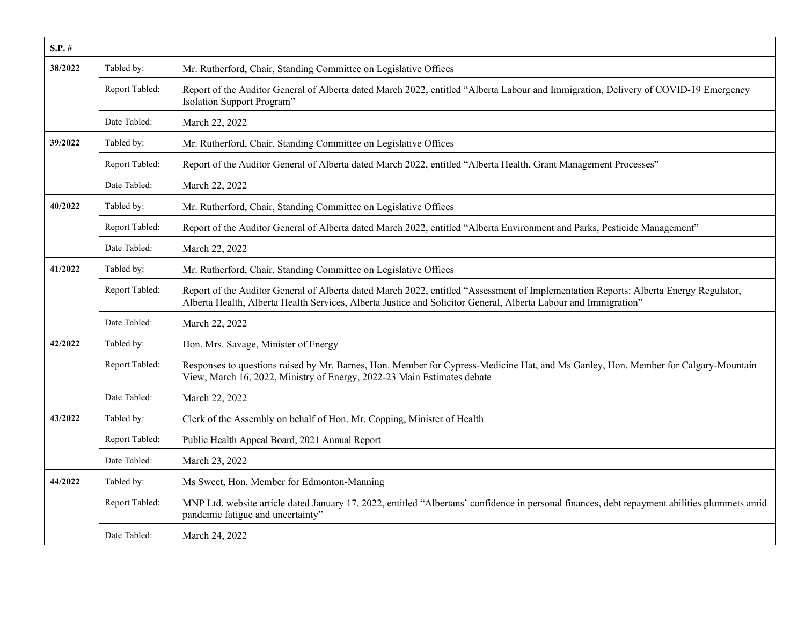| $S.P.$ # |                |                                                                                                                                                                                                                                                         |
|----------|----------------|---------------------------------------------------------------------------------------------------------------------------------------------------------------------------------------------------------------------------------------------------------|
| 38/2022  | Tabled by:     | Mr. Rutherford, Chair, Standing Committee on Legislative Offices                                                                                                                                                                                        |
|          | Report Tabled: | Report of the Auditor General of Alberta dated March 2022, entitled "Alberta Labour and Immigration, Delivery of COVID-19 Emergency<br>Isolation Support Program"                                                                                       |
|          | Date Tabled:   | March 22, 2022                                                                                                                                                                                                                                          |
| 39/2022  | Tabled by:     | Mr. Rutherford, Chair, Standing Committee on Legislative Offices                                                                                                                                                                                        |
|          | Report Tabled: | Report of the Auditor General of Alberta dated March 2022, entitled "Alberta Health, Grant Management Processes"                                                                                                                                        |
|          | Date Tabled:   | March 22, 2022                                                                                                                                                                                                                                          |
| 40/2022  | Tabled by:     | Mr. Rutherford, Chair, Standing Committee on Legislative Offices                                                                                                                                                                                        |
|          | Report Tabled: | Report of the Auditor General of Alberta dated March 2022, entitled "Alberta Environment and Parks, Pesticide Management"                                                                                                                               |
|          | Date Tabled:   | March 22, 2022                                                                                                                                                                                                                                          |
| 41/2022  | Tabled by:     | Mr. Rutherford, Chair, Standing Committee on Legislative Offices                                                                                                                                                                                        |
|          | Report Tabled: | Report of the Auditor General of Alberta dated March 2022, entitled "Assessment of Implementation Reports: Alberta Energy Regulator,<br>Alberta Health, Alberta Health Services, Alberta Justice and Solicitor General, Alberta Labour and Immigration" |
|          | Date Tabled:   | March 22, 2022                                                                                                                                                                                                                                          |
| 42/2022  | Tabled by:     | Hon. Mrs. Savage, Minister of Energy                                                                                                                                                                                                                    |
|          | Report Tabled: | Responses to questions raised by Mr. Barnes, Hon. Member for Cypress-Medicine Hat, and Ms Ganley, Hon. Member for Calgary-Mountain<br>View, March 16, 2022, Ministry of Energy, 2022-23 Main Estimates debate                                           |
|          | Date Tabled:   | March 22, 2022                                                                                                                                                                                                                                          |
| 43/2022  | Tabled by:     | Clerk of the Assembly on behalf of Hon. Mr. Copping, Minister of Health                                                                                                                                                                                 |
|          | Report Tabled: | Public Health Appeal Board, 2021 Annual Report                                                                                                                                                                                                          |
|          | Date Tabled:   | March 23, 2022                                                                                                                                                                                                                                          |
| 44/2022  | Tabled by:     | Ms Sweet, Hon. Member for Edmonton-Manning                                                                                                                                                                                                              |
|          | Report Tabled: | MNP Ltd. website article dated January 17, 2022, entitled "Albertans' confidence in personal finances, debt repayment abilities plummets amid<br>pandemic fatigue and uncertainty"                                                                      |
|          | Date Tabled:   | March 24, 2022                                                                                                                                                                                                                                          |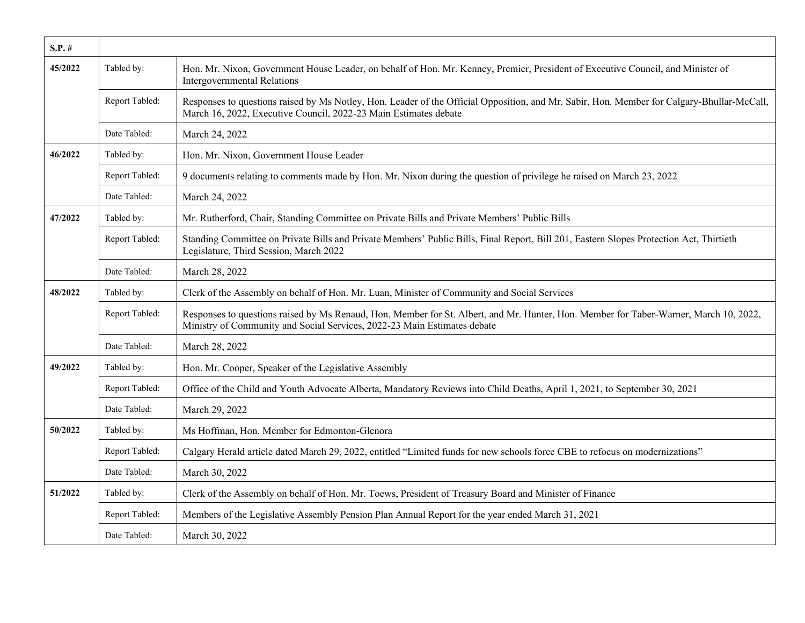| $S.P.$ # |                |                                                                                                                                                                                                                   |
|----------|----------------|-------------------------------------------------------------------------------------------------------------------------------------------------------------------------------------------------------------------|
| 45/2022  | Tabled by:     | Hon. Mr. Nixon, Government House Leader, on behalf of Hon. Mr. Kenney, Premier, President of Executive Council, and Minister of<br><b>Intergovernmental Relations</b>                                             |
|          | Report Tabled: | Responses to questions raised by Ms Notley, Hon. Leader of the Official Opposition, and Mr. Sabir, Hon. Member for Calgary-Bhullar-McCall,<br>March 16, 2022, Executive Council, 2022-23 Main Estimates debate    |
|          | Date Tabled:   | March 24, 2022                                                                                                                                                                                                    |
| 46/2022  | Tabled by:     | Hon. Mr. Nixon, Government House Leader                                                                                                                                                                           |
|          | Report Tabled: | 9 documents relating to comments made by Hon. Mr. Nixon during the question of privilege he raised on March 23, 2022                                                                                              |
|          | Date Tabled:   | March 24, 2022                                                                                                                                                                                                    |
| 47/2022  | Tabled by:     | Mr. Rutherford, Chair, Standing Committee on Private Bills and Private Members' Public Bills                                                                                                                      |
|          | Report Tabled: | Standing Committee on Private Bills and Private Members' Public Bills, Final Report, Bill 201, Eastern Slopes Protection Act, Thirtieth<br>Legislature, Third Session, March 2022                                 |
|          | Date Tabled:   | March 28, 2022                                                                                                                                                                                                    |
| 48/2022  | Tabled by:     | Clerk of the Assembly on behalf of Hon. Mr. Luan, Minister of Community and Social Services                                                                                                                       |
|          | Report Tabled: | Responses to questions raised by Ms Renaud, Hon. Member for St. Albert, and Mr. Hunter, Hon. Member for Taber-Warner, March 10, 2022,<br>Ministry of Community and Social Services, 2022-23 Main Estimates debate |
|          | Date Tabled:   | March 28, 2022                                                                                                                                                                                                    |
| 49/2022  | Tabled by:     | Hon. Mr. Cooper, Speaker of the Legislative Assembly                                                                                                                                                              |
|          | Report Tabled: | Office of the Child and Youth Advocate Alberta, Mandatory Reviews into Child Deaths, April 1, 2021, to September 30, 2021                                                                                         |
|          | Date Tabled:   | March 29, 2022                                                                                                                                                                                                    |
| 50/2022  | Tabled by:     | Ms Hoffman, Hon. Member for Edmonton-Glenora                                                                                                                                                                      |
|          | Report Tabled: | Calgary Herald article dated March 29, 2022, entitled "Limited funds for new schools force CBE to refocus on modernizations"                                                                                      |
|          | Date Tabled:   | March 30, 2022                                                                                                                                                                                                    |
| 51/2022  | Tabled by:     | Clerk of the Assembly on behalf of Hon. Mr. Toews, President of Treasury Board and Minister of Finance                                                                                                            |
|          | Report Tabled: | Members of the Legislative Assembly Pension Plan Annual Report for the year ended March 31, 2021                                                                                                                  |
|          | Date Tabled:   | March 30, 2022                                                                                                                                                                                                    |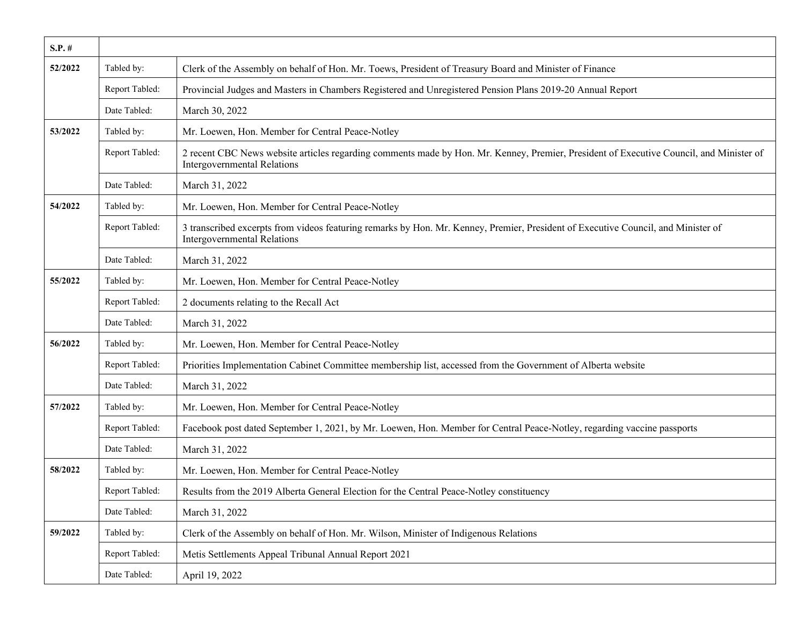| $S.P.$ # |                |                                                                                                                                                                               |
|----------|----------------|-------------------------------------------------------------------------------------------------------------------------------------------------------------------------------|
| 52/2022  | Tabled by:     | Clerk of the Assembly on behalf of Hon. Mr. Toews, President of Treasury Board and Minister of Finance                                                                        |
|          | Report Tabled: | Provincial Judges and Masters in Chambers Registered and Unregistered Pension Plans 2019-20 Annual Report                                                                     |
|          | Date Tabled:   | March 30, 2022                                                                                                                                                                |
| 53/2022  | Tabled by:     | Mr. Loewen, Hon. Member for Central Peace-Notley                                                                                                                              |
|          | Report Tabled: | 2 recent CBC News website articles regarding comments made by Hon. Mr. Kenney, Premier, President of Executive Council, and Minister of<br><b>Intergovernmental Relations</b> |
|          | Date Tabled:   | March 31, 2022                                                                                                                                                                |
| 54/2022  | Tabled by:     | Mr. Loewen, Hon. Member for Central Peace-Notley                                                                                                                              |
|          | Report Tabled: | 3 transcribed excerpts from videos featuring remarks by Hon. Mr. Kenney, Premier, President of Executive Council, and Minister of<br><b>Intergovernmental Relations</b>       |
|          | Date Tabled:   | March 31, 2022                                                                                                                                                                |
| 55/2022  | Tabled by:     | Mr. Loewen, Hon. Member for Central Peace-Notley                                                                                                                              |
|          | Report Tabled: | 2 documents relating to the Recall Act                                                                                                                                        |
|          | Date Tabled:   | March 31, 2022                                                                                                                                                                |
| 56/2022  | Tabled by:     | Mr. Loewen, Hon. Member for Central Peace-Notley                                                                                                                              |
|          | Report Tabled: | Priorities Implementation Cabinet Committee membership list, accessed from the Government of Alberta website                                                                  |
|          | Date Tabled:   | March 31, 2022                                                                                                                                                                |
| 57/2022  | Tabled by:     | Mr. Loewen, Hon. Member for Central Peace-Notley                                                                                                                              |
|          | Report Tabled: | Facebook post dated September 1, 2021, by Mr. Loewen, Hon. Member for Central Peace-Notley, regarding vaccine passports                                                       |
|          | Date Tabled:   | March 31, 2022                                                                                                                                                                |
| 58/2022  | Tabled by:     | Mr. Loewen, Hon. Member for Central Peace-Notley                                                                                                                              |
|          | Report Tabled: | Results from the 2019 Alberta General Election for the Central Peace-Notley constituency                                                                                      |
|          | Date Tabled:   | March 31, 2022                                                                                                                                                                |
| 59/2022  | Tabled by:     | Clerk of the Assembly on behalf of Hon. Mr. Wilson, Minister of Indigenous Relations                                                                                          |
|          | Report Tabled: | Metis Settlements Appeal Tribunal Annual Report 2021                                                                                                                          |
|          | Date Tabled:   | April 19, 2022                                                                                                                                                                |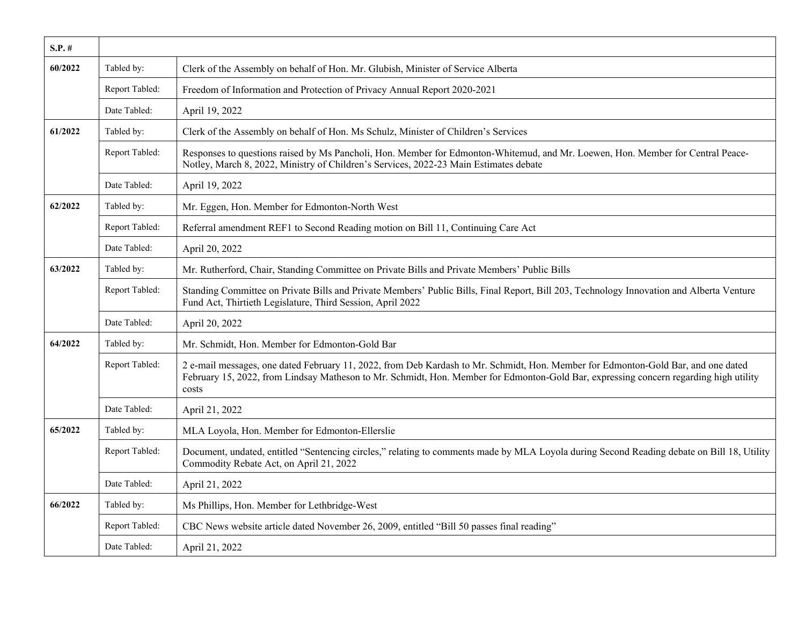| $S.P. \#$ |                |                                                                                                                                                                                                                                                                                     |
|-----------|----------------|-------------------------------------------------------------------------------------------------------------------------------------------------------------------------------------------------------------------------------------------------------------------------------------|
| 60/2022   | Tabled by:     | Clerk of the Assembly on behalf of Hon. Mr. Glubish, Minister of Service Alberta                                                                                                                                                                                                    |
|           | Report Tabled: | Freedom of Information and Protection of Privacy Annual Report 2020-2021                                                                                                                                                                                                            |
|           | Date Tabled:   | April 19, 2022                                                                                                                                                                                                                                                                      |
| 61/2022   | Tabled by:     | Clerk of the Assembly on behalf of Hon. Ms Schulz, Minister of Children's Services                                                                                                                                                                                                  |
|           | Report Tabled: | Responses to questions raised by Ms Pancholi, Hon. Member for Edmonton-Whitemud, and Mr. Loewen, Hon. Member for Central Peace-<br>Notley, March 8, 2022, Ministry of Children's Services, 2022-23 Main Estimates debate                                                            |
|           | Date Tabled:   | April 19, 2022                                                                                                                                                                                                                                                                      |
| 62/2022   | Tabled by:     | Mr. Eggen, Hon. Member for Edmonton-North West                                                                                                                                                                                                                                      |
|           | Report Tabled: | Referral amendment REF1 to Second Reading motion on Bill 11, Continuing Care Act                                                                                                                                                                                                    |
|           | Date Tabled:   | April 20, 2022                                                                                                                                                                                                                                                                      |
| 63/2022   | Tabled by:     | Mr. Rutherford, Chair, Standing Committee on Private Bills and Private Members' Public Bills                                                                                                                                                                                        |
|           | Report Tabled: | Standing Committee on Private Bills and Private Members' Public Bills, Final Report, Bill 203, Technology Innovation and Alberta Venture<br>Fund Act, Thirtieth Legislature, Third Session, April 2022                                                                              |
|           | Date Tabled:   | April 20, 2022                                                                                                                                                                                                                                                                      |
| 64/2022   | Tabled by:     | Mr. Schmidt, Hon. Member for Edmonton-Gold Bar                                                                                                                                                                                                                                      |
|           | Report Tabled: | 2 e-mail messages, one dated February 11, 2022, from Deb Kardash to Mr. Schmidt, Hon. Member for Edmonton-Gold Bar, and one dated<br>February 15, 2022, from Lindsay Matheson to Mr. Schmidt, Hon. Member for Edmonton-Gold Bar, expressing concern regarding high utility<br>costs |
|           | Date Tabled:   | April 21, 2022                                                                                                                                                                                                                                                                      |
| 65/2022   | Tabled by:     | MLA Loyola, Hon. Member for Edmonton-Ellerslie                                                                                                                                                                                                                                      |
|           | Report Tabled: | Document, undated, entitled "Sentencing circles," relating to comments made by MLA Loyola during Second Reading debate on Bill 18, Utility<br>Commodity Rebate Act, on April 21, 2022                                                                                               |
|           | Date Tabled:   | April 21, 2022                                                                                                                                                                                                                                                                      |
| 66/2022   | Tabled by:     | Ms Phillips, Hon. Member for Lethbridge-West                                                                                                                                                                                                                                        |
|           | Report Tabled: | CBC News website article dated November 26, 2009, entitled "Bill 50 passes final reading"                                                                                                                                                                                           |
|           | Date Tabled:   | April 21, 2022                                                                                                                                                                                                                                                                      |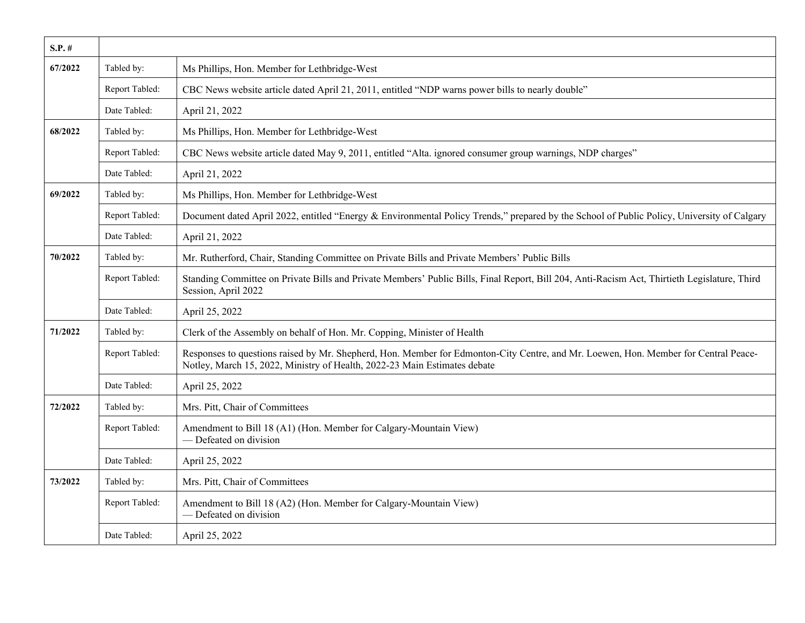| S.P. #  |                |                                                                                                                                                                                                                  |
|---------|----------------|------------------------------------------------------------------------------------------------------------------------------------------------------------------------------------------------------------------|
| 67/2022 | Tabled by:     | Ms Phillips, Hon. Member for Lethbridge-West                                                                                                                                                                     |
|         | Report Tabled: | CBC News website article dated April 21, 2011, entitled "NDP warns power bills to nearly double"                                                                                                                 |
|         | Date Tabled:   | April 21, 2022                                                                                                                                                                                                   |
| 68/2022 | Tabled by:     | Ms Phillips, Hon. Member for Lethbridge-West                                                                                                                                                                     |
|         | Report Tabled: | CBC News website article dated May 9, 2011, entitled "Alta. ignored consumer group warnings, NDP charges"                                                                                                        |
|         | Date Tabled:   | April 21, 2022                                                                                                                                                                                                   |
| 69/2022 | Tabled by:     | Ms Phillips, Hon. Member for Lethbridge-West                                                                                                                                                                     |
|         | Report Tabled: | Document dated April 2022, entitled "Energy & Environmental Policy Trends," prepared by the School of Public Policy, University of Calgary                                                                       |
|         | Date Tabled:   | April 21, 2022                                                                                                                                                                                                   |
| 70/2022 | Tabled by:     | Mr. Rutherford, Chair, Standing Committee on Private Bills and Private Members' Public Bills                                                                                                                     |
|         | Report Tabled: | Standing Committee on Private Bills and Private Members' Public Bills, Final Report, Bill 204, Anti-Racism Act, Thirtieth Legislature, Third<br>Session, April 2022                                              |
|         | Date Tabled:   | April 25, 2022                                                                                                                                                                                                   |
| 71/2022 | Tabled by:     | Clerk of the Assembly on behalf of Hon. Mr. Copping, Minister of Health                                                                                                                                          |
|         | Report Tabled: | Responses to questions raised by Mr. Shepherd, Hon. Member for Edmonton-City Centre, and Mr. Loewen, Hon. Member for Central Peace-<br>Notley, March 15, 2022, Ministry of Health, 2022-23 Main Estimates debate |
|         | Date Tabled:   | April 25, 2022                                                                                                                                                                                                   |
| 72/2022 | Tabled by:     | Mrs. Pitt, Chair of Committees                                                                                                                                                                                   |
|         | Report Tabled: | Amendment to Bill 18 (A1) (Hon. Member for Calgary-Mountain View)<br>- Defeated on division                                                                                                                      |
|         | Date Tabled:   | April 25, 2022                                                                                                                                                                                                   |
| 73/2022 | Tabled by:     | Mrs. Pitt, Chair of Committees                                                                                                                                                                                   |
|         | Report Tabled: | Amendment to Bill 18 (A2) (Hon. Member for Calgary-Mountain View)<br>- Defeated on division                                                                                                                      |
|         | Date Tabled:   | April 25, 2022                                                                                                                                                                                                   |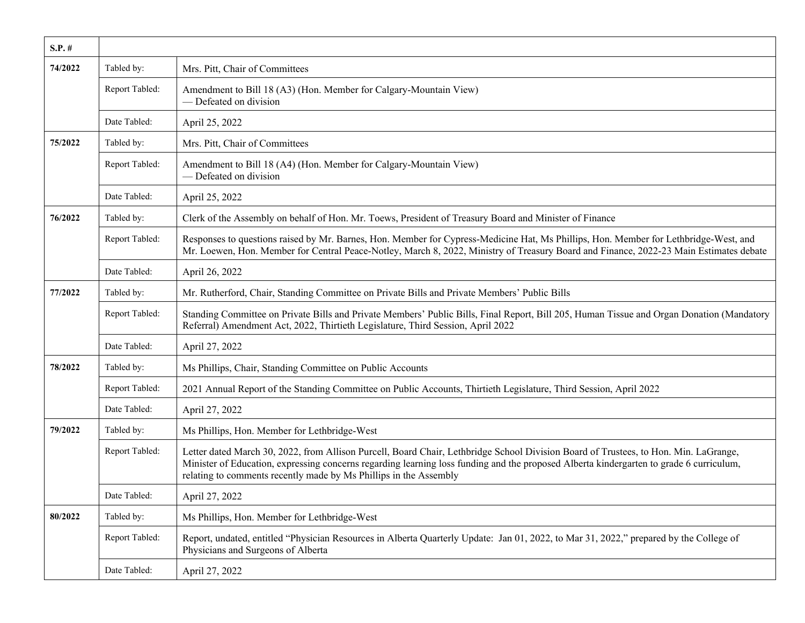| $S.P.$ # |                |                                                                                                                                                                                                                                                                                                                                                      |
|----------|----------------|------------------------------------------------------------------------------------------------------------------------------------------------------------------------------------------------------------------------------------------------------------------------------------------------------------------------------------------------------|
| 74/2022  | Tabled by:     | Mrs. Pitt, Chair of Committees                                                                                                                                                                                                                                                                                                                       |
|          | Report Tabled: | Amendment to Bill 18 (A3) (Hon. Member for Calgary-Mountain View)<br>- Defeated on division                                                                                                                                                                                                                                                          |
|          | Date Tabled:   | April 25, 2022                                                                                                                                                                                                                                                                                                                                       |
| 75/2022  | Tabled by:     | Mrs. Pitt, Chair of Committees                                                                                                                                                                                                                                                                                                                       |
|          | Report Tabled: | Amendment to Bill 18 (A4) (Hon. Member for Calgary-Mountain View)<br>- Defeated on division                                                                                                                                                                                                                                                          |
|          | Date Tabled:   | April 25, 2022                                                                                                                                                                                                                                                                                                                                       |
| 76/2022  | Tabled by:     | Clerk of the Assembly on behalf of Hon. Mr. Toews, President of Treasury Board and Minister of Finance                                                                                                                                                                                                                                               |
|          | Report Tabled: | Responses to questions raised by Mr. Barnes, Hon. Member for Cypress-Medicine Hat, Ms Phillips, Hon. Member for Lethbridge-West, and<br>Mr. Loewen, Hon. Member for Central Peace-Notley, March 8, 2022, Ministry of Treasury Board and Finance, 2022-23 Main Estimates debate                                                                       |
|          | Date Tabled:   | April 26, 2022                                                                                                                                                                                                                                                                                                                                       |
| 77/2022  | Tabled by:     | Mr. Rutherford, Chair, Standing Committee on Private Bills and Private Members' Public Bills                                                                                                                                                                                                                                                         |
|          | Report Tabled: | Standing Committee on Private Bills and Private Members' Public Bills, Final Report, Bill 205, Human Tissue and Organ Donation (Mandatory<br>Referral) Amendment Act, 2022, Thirtieth Legislature, Third Session, April 2022                                                                                                                         |
|          | Date Tabled:   | April 27, 2022                                                                                                                                                                                                                                                                                                                                       |
| 78/2022  | Tabled by:     | Ms Phillips, Chair, Standing Committee on Public Accounts                                                                                                                                                                                                                                                                                            |
|          | Report Tabled: | 2021 Annual Report of the Standing Committee on Public Accounts, Thirtieth Legislature, Third Session, April 2022                                                                                                                                                                                                                                    |
|          | Date Tabled:   | April 27, 2022                                                                                                                                                                                                                                                                                                                                       |
| 79/2022  | Tabled by:     | Ms Phillips, Hon. Member for Lethbridge-West                                                                                                                                                                                                                                                                                                         |
|          | Report Tabled: | Letter dated March 30, 2022, from Allison Purcell, Board Chair, Lethbridge School Division Board of Trustees, to Hon. Min. LaGrange,<br>Minister of Education, expressing concerns regarding learning loss funding and the proposed Alberta kindergarten to grade 6 curriculum,<br>relating to comments recently made by Ms Phillips in the Assembly |
|          | Date Tabled:   | April 27, 2022                                                                                                                                                                                                                                                                                                                                       |
| 80/2022  | Tabled by:     | Ms Phillips, Hon. Member for Lethbridge-West                                                                                                                                                                                                                                                                                                         |
|          | Report Tabled: | Report, undated, entitled "Physician Resources in Alberta Quarterly Update: Jan 01, 2022, to Mar 31, 2022," prepared by the College of<br>Physicians and Surgeons of Alberta                                                                                                                                                                         |
|          | Date Tabled:   | April 27, 2022                                                                                                                                                                                                                                                                                                                                       |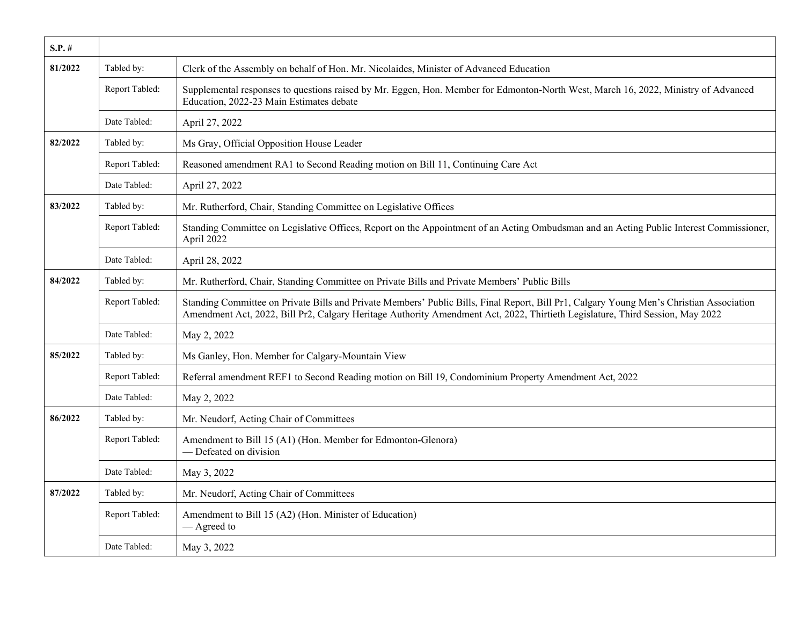| $S.P.$ # |                |                                                                                                                                                                                                                                                                           |
|----------|----------------|---------------------------------------------------------------------------------------------------------------------------------------------------------------------------------------------------------------------------------------------------------------------------|
| 81/2022  | Tabled by:     | Clerk of the Assembly on behalf of Hon. Mr. Nicolaides, Minister of Advanced Education                                                                                                                                                                                    |
|          | Report Tabled: | Supplemental responses to questions raised by Mr. Eggen, Hon. Member for Edmonton-North West, March 16, 2022, Ministry of Advanced<br>Education, 2022-23 Main Estimates debate                                                                                            |
|          | Date Tabled:   | April 27, 2022                                                                                                                                                                                                                                                            |
| 82/2022  | Tabled by:     | Ms Gray, Official Opposition House Leader                                                                                                                                                                                                                                 |
|          | Report Tabled: | Reasoned amendment RA1 to Second Reading motion on Bill 11, Continuing Care Act                                                                                                                                                                                           |
|          | Date Tabled:   | April 27, 2022                                                                                                                                                                                                                                                            |
| 83/2022  | Tabled by:     | Mr. Rutherford, Chair, Standing Committee on Legislative Offices                                                                                                                                                                                                          |
|          | Report Tabled: | Standing Committee on Legislative Offices, Report on the Appointment of an Acting Ombudsman and an Acting Public Interest Commissioner,<br>April 2022                                                                                                                     |
|          | Date Tabled:   | April 28, 2022                                                                                                                                                                                                                                                            |
| 84/2022  | Tabled by:     | Mr. Rutherford, Chair, Standing Committee on Private Bills and Private Members' Public Bills                                                                                                                                                                              |
|          | Report Tabled: | Standing Committee on Private Bills and Private Members' Public Bills, Final Report, Bill Pr1, Calgary Young Men's Christian Association<br>Amendment Act, 2022, Bill Pr2, Calgary Heritage Authority Amendment Act, 2022, Thirtieth Legislature, Third Session, May 2022 |
|          | Date Tabled:   | May 2, 2022                                                                                                                                                                                                                                                               |
| 85/2022  | Tabled by:     | Ms Ganley, Hon. Member for Calgary-Mountain View                                                                                                                                                                                                                          |
|          | Report Tabled: | Referral amendment REF1 to Second Reading motion on Bill 19, Condominium Property Amendment Act, 2022                                                                                                                                                                     |
|          | Date Tabled:   | May 2, 2022                                                                                                                                                                                                                                                               |
| 86/2022  | Tabled by:     | Mr. Neudorf, Acting Chair of Committees                                                                                                                                                                                                                                   |
|          | Report Tabled: | Amendment to Bill 15 (A1) (Hon. Member for Edmonton-Glenora)<br>— Defeated on division                                                                                                                                                                                    |
|          | Date Tabled:   | May 3, 2022                                                                                                                                                                                                                                                               |
| 87/2022  | Tabled by:     | Mr. Neudorf, Acting Chair of Committees                                                                                                                                                                                                                                   |
|          | Report Tabled: | Amendment to Bill 15 (A2) (Hon. Minister of Education)<br>— Agreed to                                                                                                                                                                                                     |
|          | Date Tabled:   | May 3, 2022                                                                                                                                                                                                                                                               |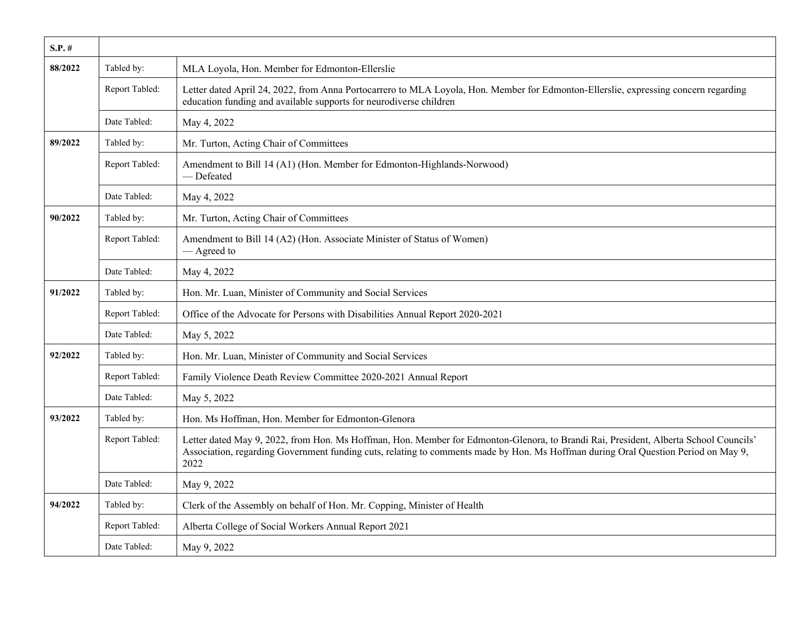| $S.P.$ # |                |                                                                                                                                                                                                                                                                                    |
|----------|----------------|------------------------------------------------------------------------------------------------------------------------------------------------------------------------------------------------------------------------------------------------------------------------------------|
| 88/2022  | Tabled by:     | MLA Loyola, Hon. Member for Edmonton-Ellerslie                                                                                                                                                                                                                                     |
|          | Report Tabled: | Letter dated April 24, 2022, from Anna Portocarrero to MLA Loyola, Hon. Member for Edmonton-Ellerslie, expressing concern regarding<br>education funding and available supports for neurodiverse children                                                                          |
|          | Date Tabled:   | May 4, 2022                                                                                                                                                                                                                                                                        |
| 89/2022  | Tabled by:     | Mr. Turton, Acting Chair of Committees                                                                                                                                                                                                                                             |
|          | Report Tabled: | Amendment to Bill 14 (A1) (Hon. Member for Edmonton-Highlands-Norwood)<br>— Defeated                                                                                                                                                                                               |
|          | Date Tabled:   | May 4, 2022                                                                                                                                                                                                                                                                        |
| 90/2022  | Tabled by:     | Mr. Turton, Acting Chair of Committees                                                                                                                                                                                                                                             |
|          | Report Tabled: | Amendment to Bill 14 (A2) (Hon. Associate Minister of Status of Women)<br>— Agreed to                                                                                                                                                                                              |
|          | Date Tabled:   | May 4, 2022                                                                                                                                                                                                                                                                        |
| 91/2022  | Tabled by:     | Hon. Mr. Luan, Minister of Community and Social Services                                                                                                                                                                                                                           |
|          | Report Tabled: | Office of the Advocate for Persons with Disabilities Annual Report 2020-2021                                                                                                                                                                                                       |
|          | Date Tabled:   | May 5, 2022                                                                                                                                                                                                                                                                        |
| 92/2022  | Tabled by:     | Hon. Mr. Luan, Minister of Community and Social Services                                                                                                                                                                                                                           |
|          | Report Tabled: | Family Violence Death Review Committee 2020-2021 Annual Report                                                                                                                                                                                                                     |
|          | Date Tabled:   | May 5, 2022                                                                                                                                                                                                                                                                        |
| 93/2022  | Tabled by:     | Hon. Ms Hoffman, Hon. Member for Edmonton-Glenora                                                                                                                                                                                                                                  |
|          | Report Tabled: | Letter dated May 9, 2022, from Hon. Ms Hoffman, Hon. Member for Edmonton-Glenora, to Brandi Rai, President, Alberta School Councils'<br>Association, regarding Government funding cuts, relating to comments made by Hon. Ms Hoffman during Oral Question Period on May 9,<br>2022 |
|          | Date Tabled:   | May 9, 2022                                                                                                                                                                                                                                                                        |
| 94/2022  | Tabled by:     | Clerk of the Assembly on behalf of Hon. Mr. Copping, Minister of Health                                                                                                                                                                                                            |
|          | Report Tabled: | Alberta College of Social Workers Annual Report 2021                                                                                                                                                                                                                               |
|          | Date Tabled:   | May 9, 2022                                                                                                                                                                                                                                                                        |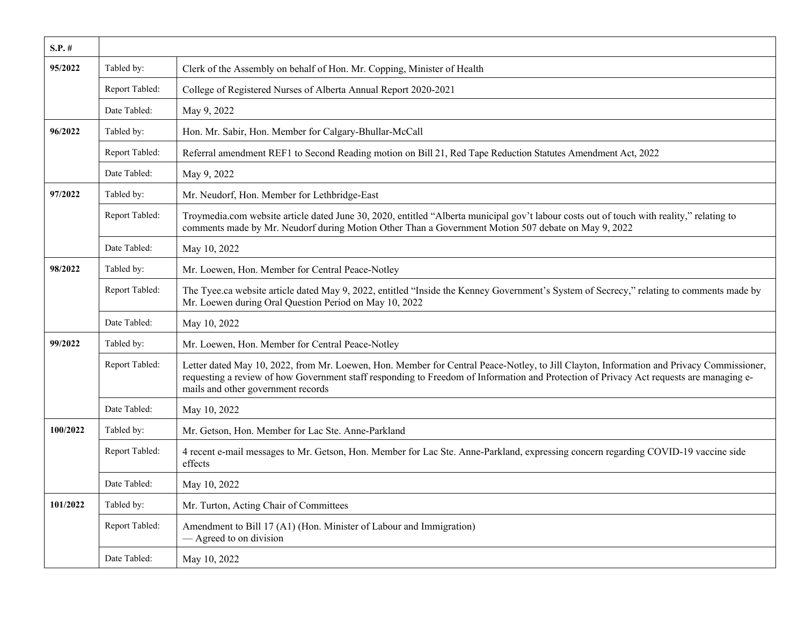| $S.P.$ # |                |                                                                                                                                                                                                                                                                                                                           |
|----------|----------------|---------------------------------------------------------------------------------------------------------------------------------------------------------------------------------------------------------------------------------------------------------------------------------------------------------------------------|
| 95/2022  | Tabled by:     | Clerk of the Assembly on behalf of Hon. Mr. Copping, Minister of Health                                                                                                                                                                                                                                                   |
|          | Report Tabled: | College of Registered Nurses of Alberta Annual Report 2020-2021                                                                                                                                                                                                                                                           |
|          | Date Tabled:   | May 9, 2022                                                                                                                                                                                                                                                                                                               |
| 96/2022  | Tabled by:     | Hon. Mr. Sabir, Hon. Member for Calgary-Bhullar-McCall                                                                                                                                                                                                                                                                    |
|          | Report Tabled: | Referral amendment REF1 to Second Reading motion on Bill 21, Red Tape Reduction Statutes Amendment Act, 2022                                                                                                                                                                                                              |
|          | Date Tabled:   | May 9, 2022                                                                                                                                                                                                                                                                                                               |
| 97/2022  | Tabled by:     | Mr. Neudorf, Hon. Member for Lethbridge-East                                                                                                                                                                                                                                                                              |
|          | Report Tabled: | Troymedia.com website article dated June 30, 2020, entitled "Alberta municipal gov't labour costs out of touch with reality," relating to<br>comments made by Mr. Neudorf during Motion Other Than a Government Motion 507 debate on May 9, 2022                                                                          |
|          | Date Tabled:   | May 10, 2022                                                                                                                                                                                                                                                                                                              |
| 98/2022  | Tabled by:     | Mr. Loewen, Hon. Member for Central Peace-Notley                                                                                                                                                                                                                                                                          |
|          | Report Tabled: | The Tyee.ca website article dated May 9, 2022, entitled "Inside the Kenney Government's System of Secrecy," relating to comments made by<br>Mr. Loewen during Oral Question Period on May 10, 2022                                                                                                                        |
|          | Date Tabled:   | May 10, 2022                                                                                                                                                                                                                                                                                                              |
| 99/2022  | Tabled by:     | Mr. Loewen, Hon. Member for Central Peace-Notley                                                                                                                                                                                                                                                                          |
|          | Report Tabled: | Letter dated May 10, 2022, from Mr. Loewen, Hon. Member for Central Peace-Notley, to Jill Clayton, Information and Privacy Commissioner,<br>requesting a review of how Government staff responding to Freedom of Information and Protection of Privacy Act requests are managing e-<br>mails and other government records |
|          | Date Tabled:   | May 10, 2022                                                                                                                                                                                                                                                                                                              |
| 100/2022 | Tabled by:     | Mr. Getson, Hon. Member for Lac Ste. Anne-Parkland                                                                                                                                                                                                                                                                        |
|          | Report Tabled: | 4 recent e-mail messages to Mr. Getson, Hon. Member for Lac Ste. Anne-Parkland, expressing concern regarding COVID-19 vaccine side<br>effects                                                                                                                                                                             |
|          | Date Tabled:   | May 10, 2022                                                                                                                                                                                                                                                                                                              |
| 101/2022 | Tabled by:     | Mr. Turton, Acting Chair of Committees                                                                                                                                                                                                                                                                                    |
|          | Report Tabled: | Amendment to Bill 17 (A1) (Hon. Minister of Labour and Immigration)<br>$-$ Agreed to on division                                                                                                                                                                                                                          |
|          | Date Tabled:   | May 10, 2022                                                                                                                                                                                                                                                                                                              |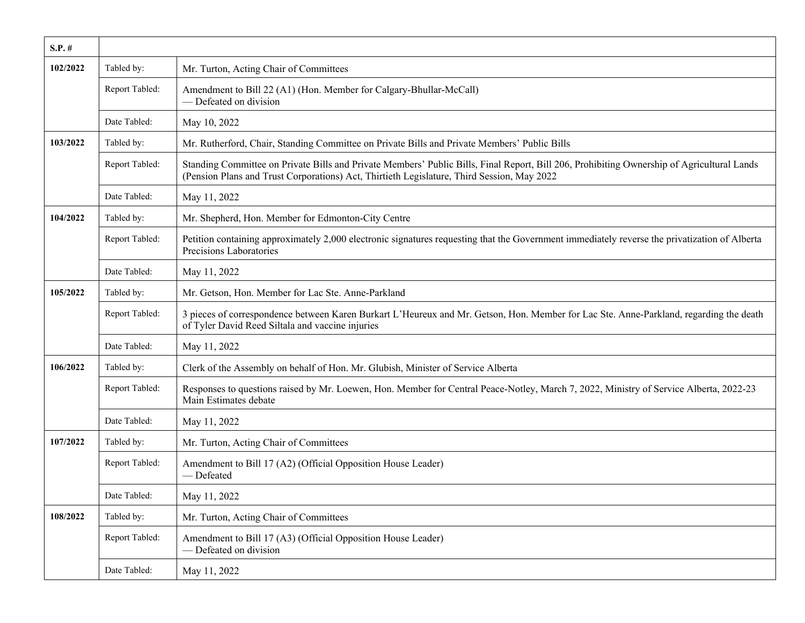| $S.P.$ # |                |                                                                                                                                                                                                                                          |
|----------|----------------|------------------------------------------------------------------------------------------------------------------------------------------------------------------------------------------------------------------------------------------|
| 102/2022 | Tabled by:     | Mr. Turton, Acting Chair of Committees                                                                                                                                                                                                   |
|          | Report Tabled: | Amendment to Bill 22 (A1) (Hon. Member for Calgary-Bhullar-McCall)<br>- Defeated on division                                                                                                                                             |
|          | Date Tabled:   | May 10, 2022                                                                                                                                                                                                                             |
| 103/2022 | Tabled by:     | Mr. Rutherford, Chair, Standing Committee on Private Bills and Private Members' Public Bills                                                                                                                                             |
|          | Report Tabled: | Standing Committee on Private Bills and Private Members' Public Bills, Final Report, Bill 206, Prohibiting Ownership of Agricultural Lands<br>(Pension Plans and Trust Corporations) Act, Thirtieth Legislature, Third Session, May 2022 |
|          | Date Tabled:   | May 11, 2022                                                                                                                                                                                                                             |
| 104/2022 | Tabled by:     | Mr. Shepherd, Hon. Member for Edmonton-City Centre                                                                                                                                                                                       |
|          | Report Tabled: | Petition containing approximately 2,000 electronic signatures requesting that the Government immediately reverse the privatization of Alberta<br>Precisions Laboratories                                                                 |
|          | Date Tabled:   | May 11, 2022                                                                                                                                                                                                                             |
| 105/2022 | Tabled by:     | Mr. Getson, Hon. Member for Lac Ste. Anne-Parkland                                                                                                                                                                                       |
|          | Report Tabled: | 3 pieces of correspondence between Karen Burkart L'Heureux and Mr. Getson, Hon. Member for Lac Ste. Anne-Parkland, regarding the death<br>of Tyler David Reed Siltala and vaccine injuries                                               |
|          | Date Tabled:   | May 11, 2022                                                                                                                                                                                                                             |
| 106/2022 | Tabled by:     | Clerk of the Assembly on behalf of Hon. Mr. Glubish, Minister of Service Alberta                                                                                                                                                         |
|          | Report Tabled: | Responses to questions raised by Mr. Loewen, Hon. Member for Central Peace-Notley, March 7, 2022, Ministry of Service Alberta, 2022-23<br>Main Estimates debate                                                                          |
|          | Date Tabled:   | May 11, 2022                                                                                                                                                                                                                             |
| 107/2022 | Tabled by:     | Mr. Turton, Acting Chair of Committees                                                                                                                                                                                                   |
|          | Report Tabled: | Amendment to Bill 17 (A2) (Official Opposition House Leader)<br>- Defeated                                                                                                                                                               |
|          | Date Tabled:   | May 11, 2022                                                                                                                                                                                                                             |
| 108/2022 | Tabled by:     | Mr. Turton, Acting Chair of Committees                                                                                                                                                                                                   |
|          | Report Tabled: | Amendment to Bill 17 (A3) (Official Opposition House Leader)<br>- Defeated on division                                                                                                                                                   |
|          | Date Tabled:   | May 11, 2022                                                                                                                                                                                                                             |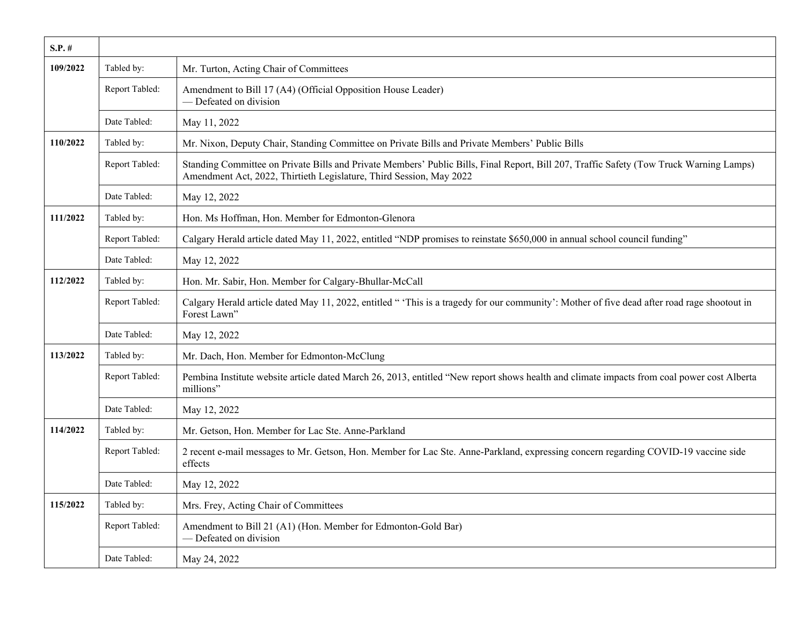| $S.P.$ # |                |                                                                                                                                                                                                                |
|----------|----------------|----------------------------------------------------------------------------------------------------------------------------------------------------------------------------------------------------------------|
| 109/2022 | Tabled by:     | Mr. Turton, Acting Chair of Committees                                                                                                                                                                         |
|          | Report Tabled: | Amendment to Bill 17 (A4) (Official Opposition House Leader)<br>- Defeated on division                                                                                                                         |
|          | Date Tabled:   | May 11, 2022                                                                                                                                                                                                   |
| 110/2022 | Tabled by:     | Mr. Nixon, Deputy Chair, Standing Committee on Private Bills and Private Members' Public Bills                                                                                                                 |
|          | Report Tabled: | Standing Committee on Private Bills and Private Members' Public Bills, Final Report, Bill 207, Traffic Safety (Tow Truck Warning Lamps)<br>Amendment Act, 2022, Thirtieth Legislature, Third Session, May 2022 |
|          | Date Tabled:   | May 12, 2022                                                                                                                                                                                                   |
| 111/2022 | Tabled by:     | Hon. Ms Hoffman, Hon. Member for Edmonton-Glenora                                                                                                                                                              |
|          | Report Tabled: | Calgary Herald article dated May 11, 2022, entitled "NDP promises to reinstate \$650,000 in annual school council funding"                                                                                     |
|          | Date Tabled:   | May 12, 2022                                                                                                                                                                                                   |
| 112/2022 | Tabled by:     | Hon. Mr. Sabir, Hon. Member for Calgary-Bhullar-McCall                                                                                                                                                         |
|          | Report Tabled: | Calgary Herald article dated May 11, 2022, entitled " 'This is a tragedy for our community': Mother of five dead after road rage shootout in<br>Forest Lawn"                                                   |
|          | Date Tabled:   | May 12, 2022                                                                                                                                                                                                   |
| 113/2022 | Tabled by:     | Mr. Dach, Hon. Member for Edmonton-McClung                                                                                                                                                                     |
|          | Report Tabled: | Pembina Institute website article dated March 26, 2013, entitled "New report shows health and climate impacts from coal power cost Alberta<br>millions"                                                        |
|          | Date Tabled:   | May 12, 2022                                                                                                                                                                                                   |
| 114/2022 | Tabled by:     | Mr. Getson, Hon. Member for Lac Ste. Anne-Parkland                                                                                                                                                             |
|          | Report Tabled: | 2 recent e-mail messages to Mr. Getson, Hon. Member for Lac Ste. Anne-Parkland, expressing concern regarding COVID-19 vaccine side<br>effects                                                                  |
|          | Date Tabled:   | May 12, 2022                                                                                                                                                                                                   |
| 115/2022 | Tabled by:     | Mrs. Frey, Acting Chair of Committees                                                                                                                                                                          |
|          | Report Tabled: | Amendment to Bill 21 (A1) (Hon. Member for Edmonton-Gold Bar)<br>- Defeated on division                                                                                                                        |
|          | Date Tabled:   | May 24, 2022                                                                                                                                                                                                   |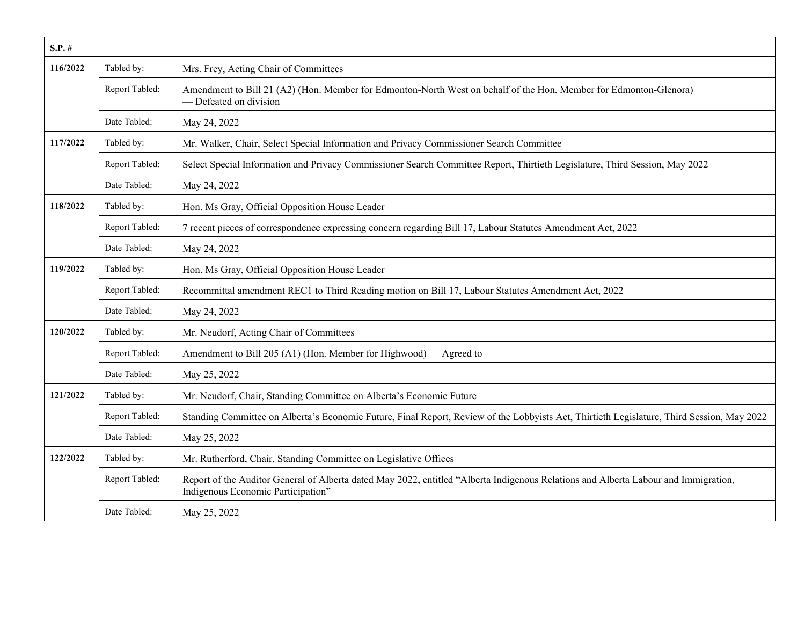| $S.P.$ # |                |                                                                                                                                                                           |
|----------|----------------|---------------------------------------------------------------------------------------------------------------------------------------------------------------------------|
| 116/2022 | Tabled by:     | Mrs. Frey, Acting Chair of Committees                                                                                                                                     |
|          | Report Tabled: | Amendment to Bill 21 (A2) (Hon. Member for Edmonton-North West on behalf of the Hon. Member for Edmonton-Glenora)<br>— Defeated on division                               |
|          | Date Tabled:   | May 24, 2022                                                                                                                                                              |
| 117/2022 | Tabled by:     | Mr. Walker, Chair, Select Special Information and Privacy Commissioner Search Committee                                                                                   |
|          | Report Tabled: | Select Special Information and Privacy Commissioner Search Committee Report, Thirtieth Legislature, Third Session, May 2022                                               |
|          | Date Tabled:   | May 24, 2022                                                                                                                                                              |
| 118/2022 | Tabled by:     | Hon. Ms Gray, Official Opposition House Leader                                                                                                                            |
|          | Report Tabled: | 7 recent pieces of correspondence expressing concern regarding Bill 17, Labour Statutes Amendment Act, 2022                                                               |
|          | Date Tabled:   | May 24, 2022                                                                                                                                                              |
| 119/2022 | Tabled by:     | Hon. Ms Gray, Official Opposition House Leader                                                                                                                            |
|          | Report Tabled: | Recommittal amendment REC1 to Third Reading motion on Bill 17, Labour Statutes Amendment Act, 2022                                                                        |
|          | Date Tabled:   | May 24, 2022                                                                                                                                                              |
| 120/2022 | Tabled by:     | Mr. Neudorf, Acting Chair of Committees                                                                                                                                   |
|          | Report Tabled: | Amendment to Bill 205 (A1) (Hon. Member for Highwood) — Agreed to                                                                                                         |
|          | Date Tabled:   | May 25, 2022                                                                                                                                                              |
| 121/2022 | Tabled by:     | Mr. Neudorf, Chair, Standing Committee on Alberta's Economic Future                                                                                                       |
|          | Report Tabled: | Standing Committee on Alberta's Economic Future, Final Report, Review of the Lobbyists Act, Thirtieth Legislature, Third Session, May 2022                                |
|          | Date Tabled:   | May 25, 2022                                                                                                                                                              |
| 122/2022 | Tabled by:     | Mr. Rutherford, Chair, Standing Committee on Legislative Offices                                                                                                          |
|          | Report Tabled: | Report of the Auditor General of Alberta dated May 2022, entitled "Alberta Indigenous Relations and Alberta Labour and Immigration,<br>Indigenous Economic Participation" |
|          | Date Tabled:   | May 25, 2022                                                                                                                                                              |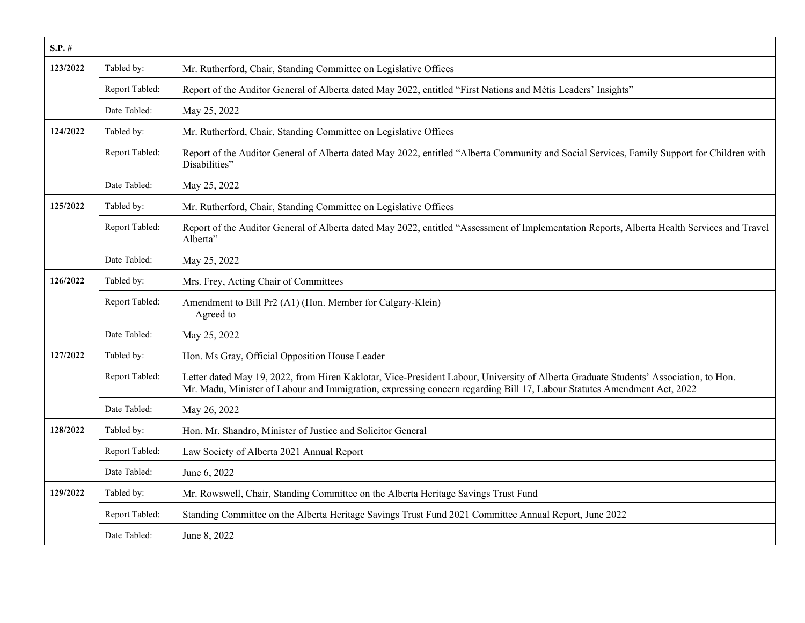| $S.P.$ # |                |                                                                                                                                                                                                                                                                 |
|----------|----------------|-----------------------------------------------------------------------------------------------------------------------------------------------------------------------------------------------------------------------------------------------------------------|
| 123/2022 | Tabled by:     | Mr. Rutherford, Chair, Standing Committee on Legislative Offices                                                                                                                                                                                                |
|          | Report Tabled: | Report of the Auditor General of Alberta dated May 2022, entitled "First Nations and Métis Leaders' Insights"                                                                                                                                                   |
|          | Date Tabled:   | May 25, 2022                                                                                                                                                                                                                                                    |
| 124/2022 | Tabled by:     | Mr. Rutherford, Chair, Standing Committee on Legislative Offices                                                                                                                                                                                                |
|          | Report Tabled: | Report of the Auditor General of Alberta dated May 2022, entitled "Alberta Community and Social Services, Family Support for Children with<br>Disabilities"                                                                                                     |
|          | Date Tabled:   | May 25, 2022                                                                                                                                                                                                                                                    |
| 125/2022 | Tabled by:     | Mr. Rutherford, Chair, Standing Committee on Legislative Offices                                                                                                                                                                                                |
|          | Report Tabled: | Report of the Auditor General of Alberta dated May 2022, entitled "Assessment of Implementation Reports, Alberta Health Services and Travel<br>Alberta"                                                                                                         |
|          | Date Tabled:   | May 25, 2022                                                                                                                                                                                                                                                    |
| 126/2022 | Tabled by:     | Mrs. Frey, Acting Chair of Committees                                                                                                                                                                                                                           |
|          | Report Tabled: | Amendment to Bill Pr2 (A1) (Hon. Member for Calgary-Klein)<br>— Agreed to                                                                                                                                                                                       |
|          | Date Tabled:   | May 25, 2022                                                                                                                                                                                                                                                    |
| 127/2022 | Tabled by:     | Hon. Ms Gray, Official Opposition House Leader                                                                                                                                                                                                                  |
|          | Report Tabled: | Letter dated May 19, 2022, from Hiren Kaklotar, Vice-President Labour, University of Alberta Graduate Students' Association, to Hon.<br>Mr. Madu, Minister of Labour and Immigration, expressing concern regarding Bill 17, Labour Statutes Amendment Act, 2022 |
|          | Date Tabled:   | May 26, 2022                                                                                                                                                                                                                                                    |
| 128/2022 | Tabled by:     | Hon. Mr. Shandro, Minister of Justice and Solicitor General                                                                                                                                                                                                     |
|          | Report Tabled: | Law Society of Alberta 2021 Annual Report                                                                                                                                                                                                                       |
|          | Date Tabled:   | June 6, 2022                                                                                                                                                                                                                                                    |
| 129/2022 | Tabled by:     | Mr. Rowswell, Chair, Standing Committee on the Alberta Heritage Savings Trust Fund                                                                                                                                                                              |
|          | Report Tabled: | Standing Committee on the Alberta Heritage Savings Trust Fund 2021 Committee Annual Report, June 2022                                                                                                                                                           |
|          | Date Tabled:   | June 8, 2022                                                                                                                                                                                                                                                    |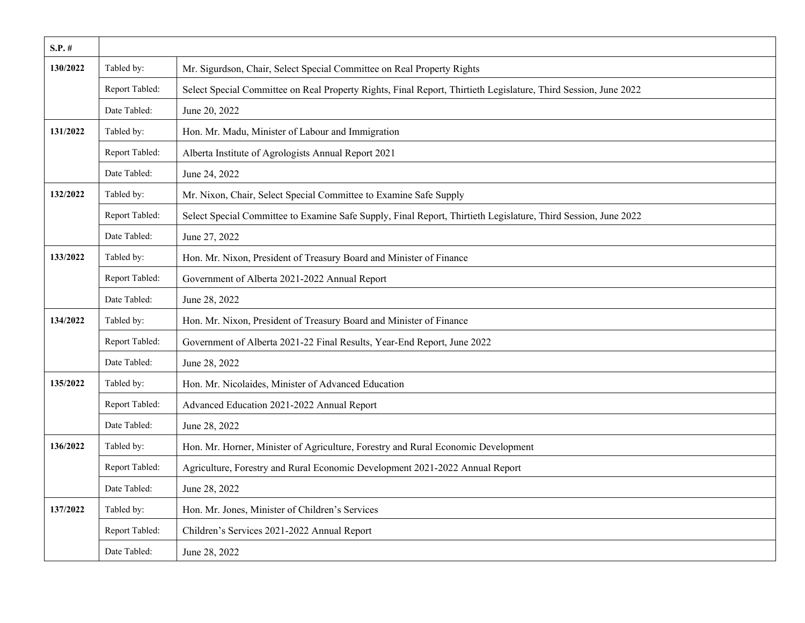| $S.P.$ # |                |                                                                                                                 |
|----------|----------------|-----------------------------------------------------------------------------------------------------------------|
| 130/2022 | Tabled by:     | Mr. Sigurdson, Chair, Select Special Committee on Real Property Rights                                          |
|          | Report Tabled: | Select Special Committee on Real Property Rights, Final Report, Thirtieth Legislature, Third Session, June 2022 |
|          | Date Tabled:   | June 20, 2022                                                                                                   |
| 131/2022 | Tabled by:     | Hon. Mr. Madu, Minister of Labour and Immigration                                                               |
|          | Report Tabled: | Alberta Institute of Agrologists Annual Report 2021                                                             |
|          | Date Tabled:   | June 24, 2022                                                                                                   |
| 132/2022 | Tabled by:     | Mr. Nixon, Chair, Select Special Committee to Examine Safe Supply                                               |
|          | Report Tabled: | Select Special Committee to Examine Safe Supply, Final Report, Thirtieth Legislature, Third Session, June 2022  |
|          | Date Tabled:   | June 27, 2022                                                                                                   |
| 133/2022 | Tabled by:     | Hon. Mr. Nixon, President of Treasury Board and Minister of Finance                                             |
|          | Report Tabled: | Government of Alberta 2021-2022 Annual Report                                                                   |
|          | Date Tabled:   | June 28, 2022                                                                                                   |
| 134/2022 | Tabled by:     | Hon. Mr. Nixon, President of Treasury Board and Minister of Finance                                             |
|          | Report Tabled: | Government of Alberta 2021-22 Final Results, Year-End Report, June 2022                                         |
|          | Date Tabled:   | June 28, 2022                                                                                                   |
| 135/2022 | Tabled by:     | Hon. Mr. Nicolaides, Minister of Advanced Education                                                             |
|          | Report Tabled: | Advanced Education 2021-2022 Annual Report                                                                      |
|          | Date Tabled:   | June 28, 2022                                                                                                   |
| 136/2022 | Tabled by:     | Hon. Mr. Horner, Minister of Agriculture, Forestry and Rural Economic Development                               |
|          | Report Tabled: | Agriculture, Forestry and Rural Economic Development 2021-2022 Annual Report                                    |
|          | Date Tabled:   | June 28, 2022                                                                                                   |
| 137/2022 | Tabled by:     | Hon. Mr. Jones, Minister of Children's Services                                                                 |
|          | Report Tabled: | Children's Services 2021-2022 Annual Report                                                                     |
|          | Date Tabled:   | June 28, 2022                                                                                                   |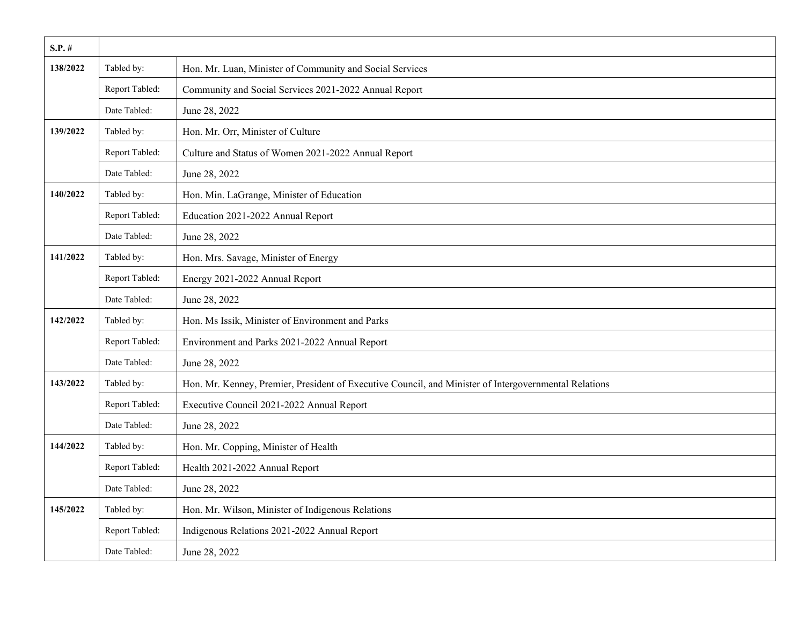| $S.P.$ # |                |                                                                                                       |
|----------|----------------|-------------------------------------------------------------------------------------------------------|
| 138/2022 | Tabled by:     | Hon. Mr. Luan, Minister of Community and Social Services                                              |
|          | Report Tabled: | Community and Social Services 2021-2022 Annual Report                                                 |
|          | Date Tabled:   | June 28, 2022                                                                                         |
| 139/2022 | Tabled by:     | Hon. Mr. Orr, Minister of Culture                                                                     |
|          | Report Tabled: | Culture and Status of Women 2021-2022 Annual Report                                                   |
|          | Date Tabled:   | June 28, 2022                                                                                         |
| 140/2022 | Tabled by:     | Hon. Min. LaGrange, Minister of Education                                                             |
|          | Report Tabled: | Education 2021-2022 Annual Report                                                                     |
|          | Date Tabled:   | June 28, 2022                                                                                         |
| 141/2022 | Tabled by:     | Hon. Mrs. Savage, Minister of Energy                                                                  |
|          | Report Tabled: | Energy 2021-2022 Annual Report                                                                        |
|          | Date Tabled:   | June 28, 2022                                                                                         |
| 142/2022 | Tabled by:     | Hon. Ms Issik, Minister of Environment and Parks                                                      |
|          | Report Tabled: | Environment and Parks 2021-2022 Annual Report                                                         |
|          | Date Tabled:   | June 28, 2022                                                                                         |
| 143/2022 | Tabled by:     | Hon. Mr. Kenney, Premier, President of Executive Council, and Minister of Intergovernmental Relations |
|          | Report Tabled: | Executive Council 2021-2022 Annual Report                                                             |
|          | Date Tabled:   | June 28, 2022                                                                                         |
| 144/2022 | Tabled by:     | Hon. Mr. Copping, Minister of Health                                                                  |
|          | Report Tabled: | Health 2021-2022 Annual Report                                                                        |
|          | Date Tabled:   | June 28, 2022                                                                                         |
| 145/2022 | Tabled by:     | Hon. Mr. Wilson, Minister of Indigenous Relations                                                     |
|          | Report Tabled: | Indigenous Relations 2021-2022 Annual Report                                                          |
|          | Date Tabled:   | June 28, 2022                                                                                         |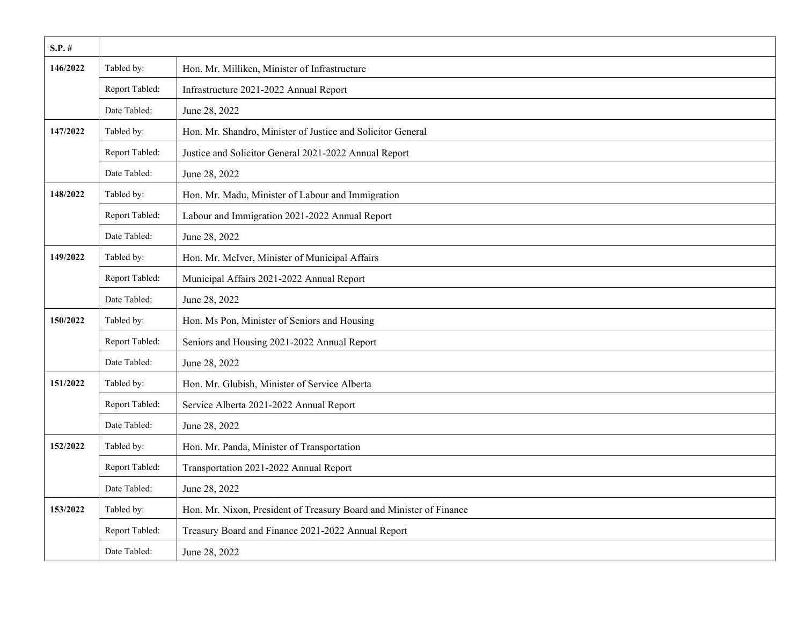| $S.P. \#$ |                |                                                                     |
|-----------|----------------|---------------------------------------------------------------------|
| 146/2022  | Tabled by:     | Hon. Mr. Milliken, Minister of Infrastructure                       |
|           | Report Tabled: | Infrastructure 2021-2022 Annual Report                              |
|           | Date Tabled:   | June 28, 2022                                                       |
| 147/2022  | Tabled by:     | Hon. Mr. Shandro, Minister of Justice and Solicitor General         |
|           | Report Tabled: | Justice and Solicitor General 2021-2022 Annual Report               |
|           | Date Tabled:   | June 28, 2022                                                       |
| 148/2022  | Tabled by:     | Hon. Mr. Madu, Minister of Labour and Immigration                   |
|           | Report Tabled: | Labour and Immigration 2021-2022 Annual Report                      |
|           | Date Tabled:   | June 28, 2022                                                       |
| 149/2022  | Tabled by:     | Hon. Mr. McIver, Minister of Municipal Affairs                      |
|           | Report Tabled: | Municipal Affairs 2021-2022 Annual Report                           |
|           | Date Tabled:   | June 28, 2022                                                       |
| 150/2022  | Tabled by:     | Hon. Ms Pon, Minister of Seniors and Housing                        |
|           | Report Tabled: | Seniors and Housing 2021-2022 Annual Report                         |
|           | Date Tabled:   | June 28, 2022                                                       |
| 151/2022  | Tabled by:     | Hon. Mr. Glubish, Minister of Service Alberta                       |
|           | Report Tabled: | Service Alberta 2021-2022 Annual Report                             |
|           | Date Tabled:   | June 28, 2022                                                       |
| 152/2022  | Tabled by:     | Hon. Mr. Panda, Minister of Transportation                          |
|           | Report Tabled: | Transportation 2021-2022 Annual Report                              |
|           | Date Tabled:   | June 28, 2022                                                       |
| 153/2022  | Tabled by:     | Hon. Mr. Nixon, President of Treasury Board and Minister of Finance |
|           | Report Tabled: | Treasury Board and Finance 2021-2022 Annual Report                  |
|           | Date Tabled:   | June 28, 2022                                                       |